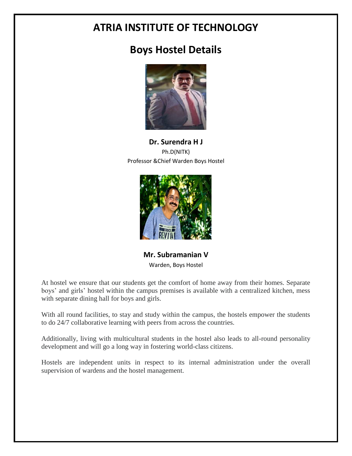## **ATRIA INSTITUTE OF TECHNOLOGY**

# **Boys Hostel Details**



**Dr. Surendra H J** Ph.D(NITK) Professor &Chief Warden Boys Hostel



**Mr. Subramanian V** Warden, Boys Hostel

At hostel we ensure that our students get the comfort of home away from their homes. Separate boys' and girls' hostel within the campus premises is available with a centralized kitchen, mess with separate dining hall for boys and girls.

With all round facilities, to stay and study within the campus, the hostels empower the students to do 24/7 collaborative learning with peers from across the countries.

Additionally, living with multicultural students in the hostel also leads to all-round personality development and will go a long way in fostering world-class citizens.

Hostels are independent units in respect to its internal administration under the overall supervision of wardens and the hostel management.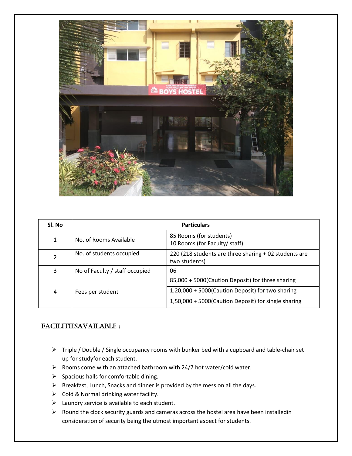

| SI. No | <b>Particulars</b>             |                                                                        |
|--------|--------------------------------|------------------------------------------------------------------------|
| 1      | No. of Rooms Available         | 85 Rooms (for students)<br>10 Rooms (for Faculty/ staff)               |
| 2      | No. of students occupied       | 220 (218 students are three sharing + 02 students are<br>two students) |
| 3      | No of Faculty / staff occupied | 06                                                                     |
| 4      | Fees per student               | 85,000 + 5000(Caution Deposit) for three sharing                       |
|        |                                | 1,20,000 + 5000(Caution Deposit) for two sharing                       |
|        |                                | 1,50,000 + 5000(Caution Deposit) for single sharing                    |

## FACILITIESAVAILABLE :

- $\triangleright$  Triple / Double / Single occupancy rooms with bunker bed with a cupboard and table-chair set up for studyfor each student.
- $\triangleright$  Rooms come with an attached bathroom with 24/7 hot water/cold water.
- $\triangleright$  Spacious halls for comfortable dining.
- $\triangleright$  Breakfast, Lunch, Snacks and dinner is provided by the mess on all the days.
- $\triangleright$  Cold & Normal drinking water facility.
- $\triangleright$  Laundry service is available to each student.
- $\triangleright$  Round the clock security guards and cameras across the hostel area have been installedin consideration of security being the utmost important aspect for students.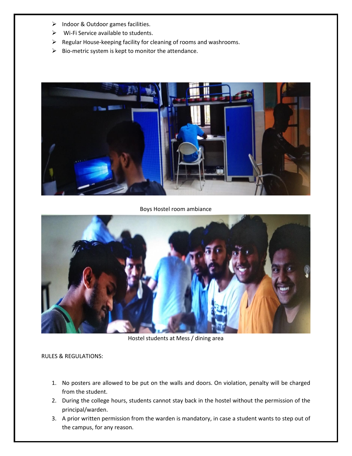- $\triangleright$  Indoor & Outdoor games facilities.
- $\triangleright$  Wi-Fi Service available to students.
- $\triangleright$  Regular House-keeping facility for cleaning of rooms and washrooms.
- $\triangleright$  Bio-metric system is kept to monitor the attendance.



### Boys Hostel room ambiance



Hostel students at Mess / dining area

### RULES & REGULATIONS:

- 1. No posters are allowed to be put on the walls and doors. On violation, penalty will be charged from the student.
- 2. During the college hours, students cannot stay back in the hostel without the permission of the principal/warden.
- 3. A prior written permission from the warden is mandatory, in case a student wants to step out of the campus, for any reason.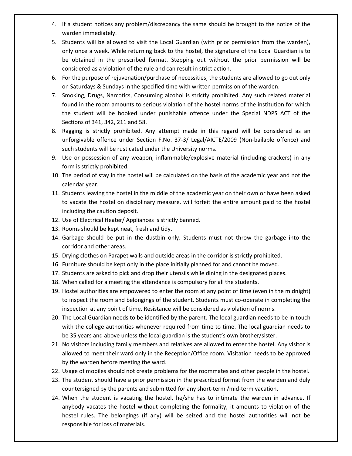- 4. If a student notices any problem/discrepancy the same should be brought to the notice of the warden immediately.
- 5. Students will be allowed to visit the Local Guardian (with prior permission from the warden), only once a week. While returning back to the hostel, the signature of the Local Guardian is to be obtained in the prescribed format. Stepping out without the prior permission will be considered as a violation of the rule and can result in strict action.
- 6. For the purpose of rejuvenation/purchase of necessities, the students are allowed to go out only on Saturdays & Sundays in the specified time with written permission of the warden.
- 7. Smoking, Drugs, Narcotics, Consuming alcohol is strictly prohibited. Any such related material found in the room amounts to serious violation of the hostel norms of the institution for which the student will be booked under punishable offence under the Special NDPS ACT of the Sections of 341, 342, 211 and 58.
- 8. Ragging is strictly prohibited. Any attempt made in this regard will be considered as an unforgivable offence under Section F.No. 37-3/ Legal/AICTE/2009 (Non-bailable offence) and such students will be rusticated under the University norms.
- 9. Use or possession of any weapon, inflammable/explosive material (including crackers) in any form is strictly prohibited.
- 10. The period of stay in the hostel will be calculated on the basis of the academic year and not the calendar year.
- 11. Students leaving the hostel in the middle of the academic year on their own or have been asked to vacate the hostel on disciplinary measure, will forfeit the entire amount paid to the hostel including the caution deposit.
- 12. Use of Electrical Heater/ Appliances is strictly banned.
- 13. Rooms should be kept neat, fresh and tidy.
- 14. Garbage should be put in the dustbin only. Students must not throw the garbage into the corridor and other areas.
- 15. Drying clothes on Parapet walls and outside areas in the corridor is strictly prohibited.
- 16. Furniture should be kept only in the place initially planned for and cannot be moved.
- 17. Students are asked to pick and drop their utensils while dining in the designated places.
- 18. When called for a meeting the attendance is compulsory for all the students.
- 19. Hostel authorities are empowered to enter the room at any point of time (even in the midnight) to inspect the room and belongings of the student. Students must co-operate in completing the inspection at any point of time. Resistance will be considered as violation of norms.
- 20. The Local Guardian needs to be identified by the parent. The local guardian needs to be in touch with the college authorities whenever required from time to time. The local guardian needs to be 35 years and above unless the local guardian is the student's own brother/sister.
- 21. No visitors including family members and relatives are allowed to enter the hostel. Any visitor is allowed to meet their ward only in the Reception/Office room. Visitation needs to be approved by the warden before meeting the ward.
- 22. Usage of mobiles should not create problems for the roommates and other people in the hostel.
- 23. The student should have a prior permission in the prescribed format from the warden and duly countersigned by the parents and submitted for any short-term /mid-term vacation.
- 24. When the student is vacating the hostel, he/she has to intimate the warden in advance. If anybody vacates the hostel without completing the formality, it amounts to violation of the hostel rules. The belongings (if any) will be seized and the hostel authorities will not be responsible for loss of materials.